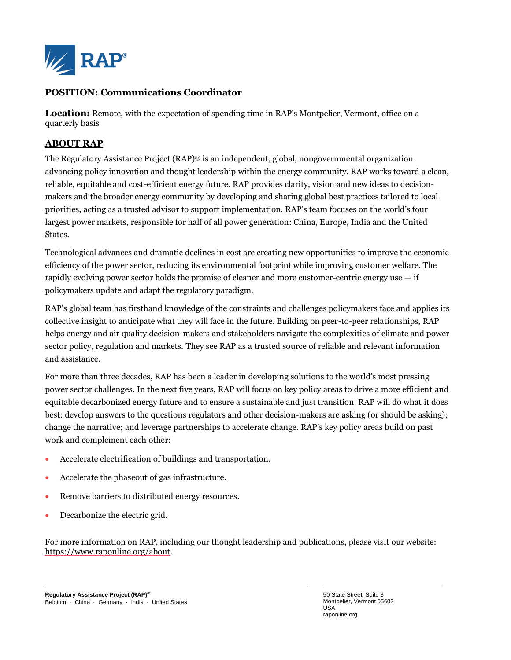

#### **POSITION: Communications Coordinator**

**Location:** Remote, with the expectation of spending time in RAP's Montpelier, Vermont, office on a quarterly basis

### **ABOUT RAP**

The Regulatory Assistance Project (RAP)® is an independent, global, nongovernmental organization advancing policy innovation and thought leadership within the energy community. RAP works toward a clean, reliable, equitable and cost-efficient energy future. RAP provides clarity, vision and new ideas to decisionmakers and the broader energy community by developing and sharing global best practices tailored to local priorities, acting as a trusted advisor to support implementation. RAP's team focuses on the world's four largest power markets, responsible for half of all power generation: China, Europe, India and the United States.

Technological advances and dramatic declines in cost are creating new opportunities to improve the economic efficiency of the power sector, reducing its environmental footprint while improving customer welfare. The rapidly evolving power sector holds the promise of cleaner and more customer-centric energy use  $-$  if policymakers update and adapt the regulatory paradigm.

RAP's global team has firsthand knowledge of the constraints and challenges policymakers face and applies its collective insight to anticipate what they will face in the future. Building on peer-to-peer relationships, RAP helps energy and air quality decision-makers and stakeholders navigate the complexities of climate and power sector policy, regulation and markets. They see RAP as a trusted source of reliable and relevant information and assistance.

For more than three decades, RAP has been a leader in developing solutions to the world's most pressing power sector challenges. In the next five years, RAP will focus on key policy areas to drive a more efficient and equitable decarbonized energy future and to ensure a sustainable and just transition. RAP will do what it does best: develop answers to the questions regulators and other decision-makers are asking (or should be asking); change the narrative; and leverage partnerships to accelerate change. RAP's key policy areas build on past work and complement each other:

- Accelerate electrification of buildings and transportation.
- Accelerate the phaseout of gas infrastructure.
- Remove barriers to distributed energy resources.
- Decarbonize the electric grid.

For more information on RAP, including our thought leadership and publications, please visit our website: [https://www.raponline.org/about.](https://www.raponline.org/about)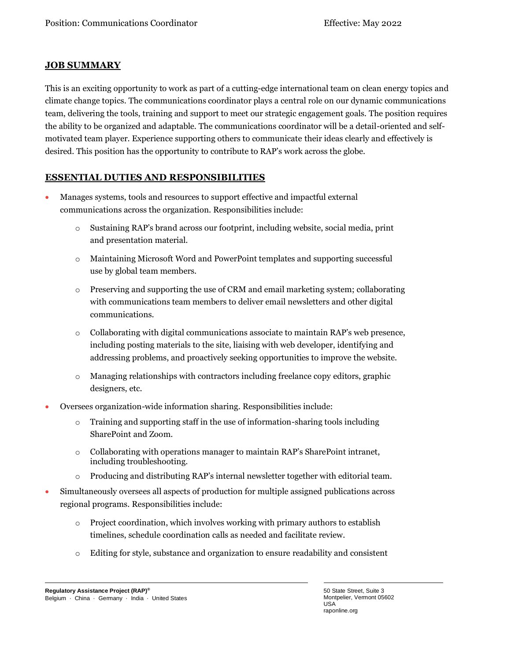## **JOB SUMMARY**

This is an exciting opportunity to work as part of a cutting-edge international team on clean energy topics and climate change topics. The communications coordinator plays a central role on our dynamic communications team, delivering the tools, training and support to meet our strategic engagement goals. The position requires the ability to be organized and adaptable. The communications coordinator will be a detail-oriented and selfmotivated team player. Experience supporting others to communicate their ideas clearly and effectively is desired. This position has the opportunity to contribute to RAP's work across the globe.

## **ESSENTIAL DUTIES AND RESPONSIBILITIES**

- Manages systems, tools and resources to support effective and impactful external communications across the organization. Responsibilities include:
	- o Sustaining RAP's brand across our footprint, including website, social media, print and presentation material.
	- o Maintaining Microsoft Word and PowerPoint templates and supporting successful use by global team members.
	- o Preserving and supporting the use of CRM and email marketing system; collaborating with communications team members to deliver email newsletters and other digital communications.
	- o Collaborating with digital communications associate to maintain RAP's web presence, including posting materials to the site, liaising with web developer, identifying and addressing problems, and proactively seeking opportunities to improve the website.
	- o Managing relationships with contractors including freelance copy editors, graphic designers, etc.
- Oversees organization-wide information sharing. Responsibilities include:
	- $\circ$  Training and supporting staff in the use of information-sharing tools including SharePoint and Zoom.
	- o Collaborating with operations manager to maintain RAP's SharePoint intranet, including troubleshooting.
	- o Producing and distributing RAP's internal newsletter together with editorial team.
- Simultaneously oversees all aspects of production for multiple assigned publications across regional programs. Responsibilities include:
	- o Project coordination, which involves working with primary authors to establish timelines, schedule coordination calls as needed and facilitate review.
	- o Editing for style, substance and organization to ensure readability and consistent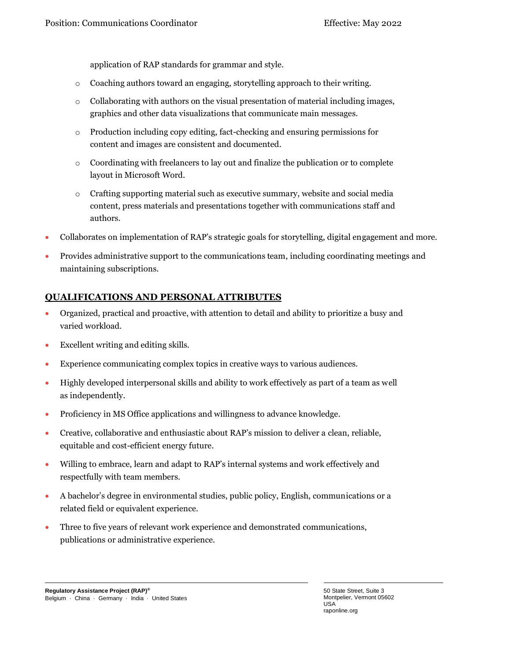application of RAP standards for grammar and style.

- o Coaching authors toward an engaging, storytelling approach to their writing.
- $\circ$  Collaborating with authors on the visual presentation of material including images, graphics and other data visualizations that communicate main messages.
- o Production including copy editing, fact-checking and ensuring permissions for content and images are consistent and documented.
- $\circ$  Coordinating with freelancers to lay out and finalize the publication or to complete layout in Microsoft Word.
- o Crafting supporting material such as executive summary, website and social media content, press materials and presentations together with communications staff and authors.
- Collaborates on implementation of RAP's strategic goals for storytelling, digital engagement and more.
- Provides administrative support to the communications team, including coordinating meetings and maintaining subscriptions.

## **QUALIFICATIONS AND PERSONAL ATTRIBUTES**

- Organized, practical and proactive, with attention to detail and ability to prioritize a busy and varied workload.
- Excellent writing and editing skills.
- Experience communicating complex topics in creative ways to various audiences.
- Highly developed interpersonal skills and ability to work effectively as part of a team as well as independently.
- Proficiency in MS Office applications and willingness to advance knowledge.
- Creative, collaborative and enthusiastic about RAP's mission to deliver a clean, reliable, equitable and cost-efficient energy future.
- Willing to embrace, learn and adapt to RAP's internal systems and work effectively and respectfully with team members.
- A bachelor's degree in environmental studies, public policy, English, communications or a related field or equivalent experience.
- Three to five years of relevant work experience and demonstrated communications, publications or administrative experience.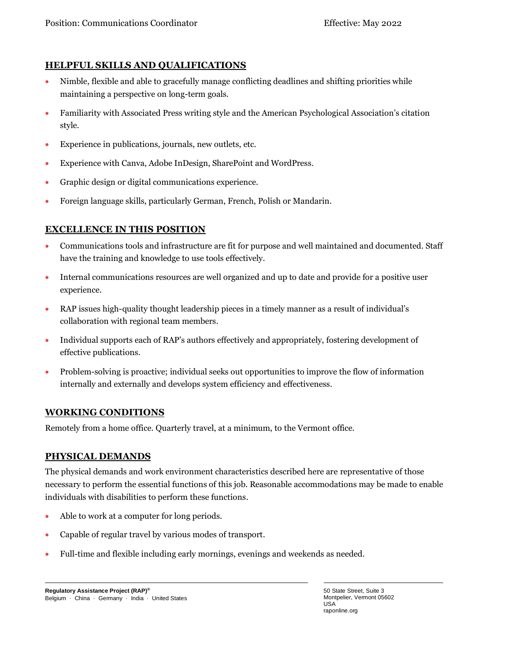# **HELPFUL SKILLS AND QUALIFICATIONS**

- Nimble, flexible and able to gracefully manage conflicting deadlines and shifting priorities while maintaining a perspective on long-term goals.
- Familiarity with Associated Press writing style and the American Psychological Association's citation style.
- Experience in publications, journals, new outlets, etc.
- Experience with Canva, Adobe InDesign, SharePoint and WordPress.
- Graphic design or digital communications experience.
- Foreign language skills, particularly German, French, Polish or Mandarin.

## **EXCELLENCE IN THIS POSITION**

- Communications tools and infrastructure are fit for purpose and well maintained and documented. Staff have the training and knowledge to use tools effectively.
- Internal communications resources are well organized and up to date and provide for a positive user experience.
- RAP issues high-quality thought leadership pieces in a timely manner as a result of individual's collaboration with regional team members.
- Individual supports each of RAP's authors effectively and appropriately, fostering development of effective publications.
- Problem-solving is proactive; individual seeks out opportunities to improve the flow of information internally and externally and develops system efficiency and effectiveness.

## **WORKING CONDITIONS**

Remotely from a home office. Quarterly travel, at a minimum, to the Vermont office.

## **PHYSICAL DEMANDS**

The physical demands and work environment characteristics described here are representative of those necessary to perform the essential functions of this job. Reasonable accommodations may be made to enable individuals with disabilities to perform these functions.

- Able to work at a computer for long periods.
- Capable of regular travel by various modes of transport.
- Full-time and flexible including early mornings, evenings and weekends as needed.